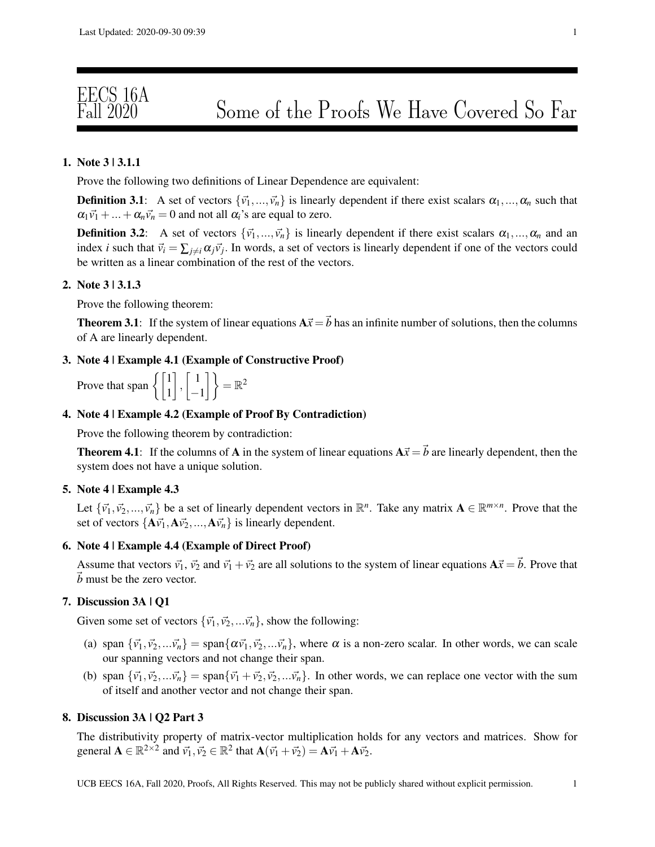# EECS 16A

## 1. Note 3 | 3.1.1

Prove the following two definitions of Linear Dependence are equivalent:

**Definition 3.1:** A set of vectors  $\{\vec{v_1},...,\vec{v_n}\}$  is linearly dependent if there exist scalars  $\alpha_1,...,\alpha_n$  such that  $\alpha_1 \vec{v_1} + ... + \alpha_n \vec{v_n} = 0$  and not all  $\alpha_i$ 's are equal to zero.

**Definition 3.2:** A set of vectors  $\{\vec{v}_1,...,\vec{v}_n\}$  is linearly dependent if there exist scalars  $\alpha_1,...,\alpha_n$  and an index *i* such that  $\vec{v}_i = \sum_{j \neq i} \alpha_j \vec{v}_j$ . In words, a set of vectors is linearly dependent if one of the vectors could be written as a linear combination of the rest of the vectors.

### 2. Note 3 | 3.1.3

Prove the following theorem:

**Theorem 3.1:** If the system of linear equations  $A\vec{x} = \vec{b}$  has an infinite number of solutions, then the columns of A are linearly dependent.

## 3. Note 4 | Example 4.1 (Example of Constructive Proof)

Prove that span 
$$
\left\{ \begin{bmatrix} 1 \\ 1 \end{bmatrix}, \begin{bmatrix} 1 \\ -1 \end{bmatrix} \right\} = \mathbb{R}^2
$$

#### 4. Note 4 | Example 4.2 (Example of Proof By Contradiction)

Prove the following theorem by contradiction:

**Theorem 4.1:** If the columns of **A** in the system of linear equations  $A\vec{x} = \vec{b}$  are linearly dependent, then the system does not have a unique solution.

## 5. Note 4 | Example 4.3

Let  $\{\vec{v_1}, \vec{v_2}, ..., \vec{v_n}\}$  be a set of linearly dependent vectors in  $\mathbb{R}^n$ . Take any matrix  $\mathbf{A} \in \mathbb{R}^{m \times n}$ . Prove that the set of vectors  $\{A\vec{v_1}, A\vec{v_2}, ..., A\vec{v_n}\}$  is linearly dependent.

## 6. Note 4 | Example 4.4 (Example of Direct Proof)

Assume that vectors  $\vec{v_1}$ ,  $\vec{v_2}$  and  $\vec{v_1} + \vec{v_2}$  are all solutions to the system of linear equations  $A\vec{x} = \vec{b}$ . Prove that ~*b* must be the zero vector.

## 7. Discussion 3A | Q1

Given some set of vectors  $\{\vec{v_1}, \vec{v_2},...\vec{v_n}\}$ , show the following:

- (a) span  ${\{\vec{v_1}, \vec{v_2}, ...\vec{v_n}\}} = \text{span} {\{\alpha \vec{v_1}, \vec{v_2}, ...\vec{v_n}\}}$ , where  $\alpha$  is a non-zero scalar. In other words, we can scale our spanning vectors and not change their span.
- (b) span  ${\{\vec{v_1}, \vec{v_2}, ...\vec{v_n}\}} = \text{span}{\{\vec{v_1} + \vec{v_2}, \vec{v_2}, ...\vec{v_n}\}}$ . In other words, we can replace one vector with the sum of itself and another vector and not change their span.

## 8. Discussion 3A | Q2 Part 3

The distributivity property of matrix-vector multiplication holds for any vectors and matrices. Show for general  $\mathbf{A} \in \mathbb{R}^{2 \times 2}$  and  $\vec{v_1}, \vec{v_2} \in \mathbb{R}^2$  that  $\mathbf{A}(\vec{v_1} + \vec{v_2}) = \mathbf{A}\vec{v_1} + \mathbf{A}\vec{v_2}$ .